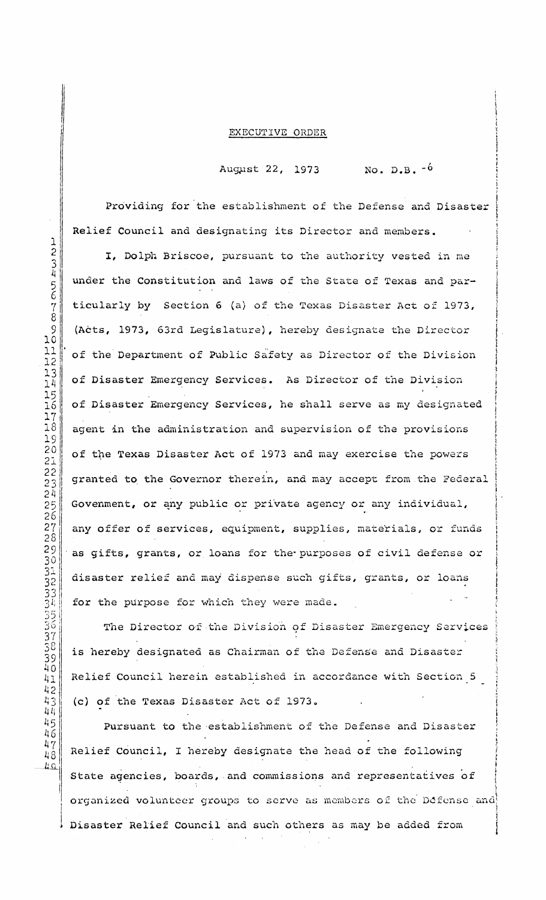## EXECUTIVE ORDER

August 22, 1973 No. D.B. -6

Providing for the establishment of the Defense and Disaster Relief Council and designating its Director and members.

any offer of services, equipment, supplies, materials, or funds **I,** Dolph Briscoe, pursuant to the authority vested in me under the Constitution and laws of the State of Texas and particularly by Section <sup>6</sup> (a) of the Texas Disaster Act of 1973, agent in the administration and supervision of the provisions (Acts, 1973, 63rd Legislature), hereby designate the Director for the purpose for which they were made. as gifts, grants, or loans for the-purposes of civil defense or of the Department of Public Safety as Director of the Division disaster relief and may dispense such gifts, grants, or loans of the Texas Disaster Act of 1973 and may exercise the powers of Disaster Emergency Services. As Director of the Division granted to the Governor therein, and may accept from the Federal of Disaster Emergency Services, he shall serve as my designated Govenment, or any public or private agency or any individual,

,

I I  $\vert \ \cdot$ ! **ICARDWAY** i<br>Pinami T **, مسائلته** i !

Relief Council herein established in accordance with Section 5 The Director of the Division of Disaster Emergency Services is hereby designated as Chairman of the Defense and Disaster (c) of the Texas Disaster Act of 1973.

Pursuant to the-establishment of the Defense and Disaster Disaster Relief Council and such others as may be added from Relief Council, I hereby designate the head of the following organized volunteer groups to serve as members of the Defense and State agencies, boards, and commissions and representatives of

1

I

1 2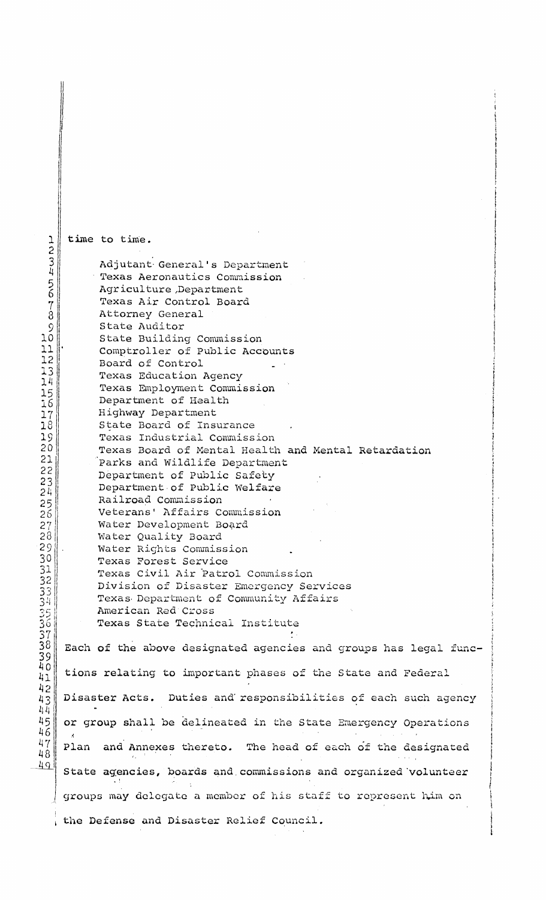the Defense and Disaster Relief Council. groups may delegate a member of his staff to represent him on State agencies, boards and commissions and organized volunteer Plan and Annexes thereto. The head of each of the designated Adjutant General's Department Texas Aeronautics Commission Agriculture,Department Texas Air Control Board Attorney General State Auditor State Building Commission Comptroller of Public Accounts Board of Control Texas Education Agency Texas Employment Commission Department of Health Highway Department State Board of Insurance Texas Industrial Commission Texas Board of Mental Health and Mental Retardation Parks and Wildlife Department Department of Public Safety Department of Public Welfare Railroad Commission Veterans' Affairs Commission Water Development Board water Quality Board Water Rights Commission Texas Forest Service Texas Civil Air Patrol Commission Division of Disaster Emergency Services Texas Department of Community Affairs American Red Cross Texas State TeGhnical Institute time **to** time. Each of the above designated agencies and groups has legal functions relating **to** important phases of the State and Federal or group shall be delineated in the State Emergency Operations Disaster Acts. Duties and responsibilities of each such agency

I

|<br>|<br>|

I<br>I<br>I<br>I

I<br>I<br>I<br>I<br>I

**I** 

**International** ! i<br>Indonesia<br>Indonesia

i<br>International Company of the Company of the Company of the Company of the Company of the Company of the Company of the Company of the Company of the Company of the Company of the Company of the Company of the Company of I j i<br>Indiana i

 $\mathbf{I}$ ! I i I' 1

**International Control** 

,I 1 i I I  $\left\{ \right.$ i *<i><u>indication*</u> *t*

46 47  $\frac{48}{49}$  1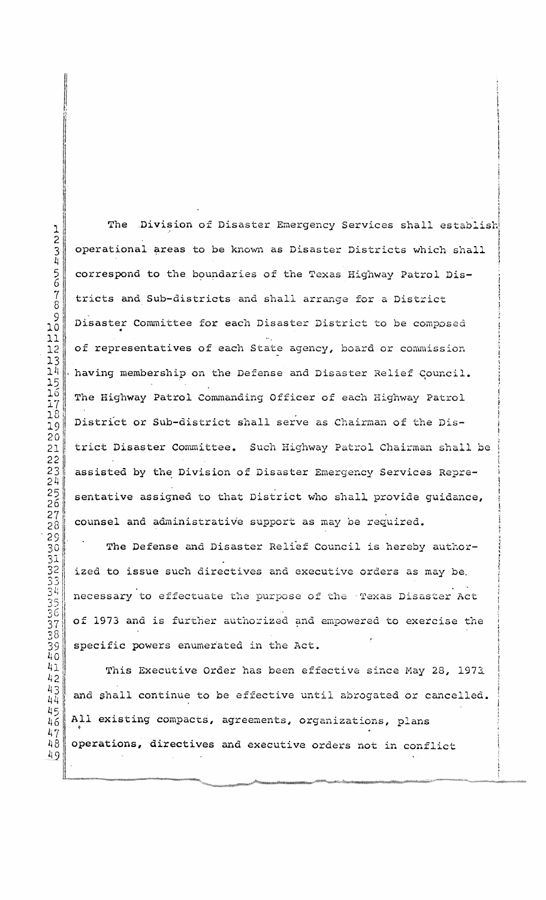The Division of Disaster Emergency Services shall establish operational areas to be known as Disaster Districts which shall I correspond to the boundaries of the Texas Highway Patrol Districts and Sub-districts and shall arrange for <sup>a</sup> District Disaster Committee for each Disaster District to be composed of representatives of each State agency, board or commission having membership on the Defense and Disaster Relief Council. The Highway Patrol Commanding Officer of each Highway Patrol District or Sub-district shall serve as Chairman of the District Disaster Committee. Such Highway Patrol Chairman shall be assisted by the Division of Disaster Emergency Services Representative assigned to that District who shall provide guidance, counsel and administrative support as may be required.

I i **International** I ! I I

i<br>III aasta maanda maanda maanda waxaa ka mid ahaa ka mid ahaa ka mid ahaa ka mid ahaa ka mid ahaa ka mid ahaa k<br>Isaac ahaa ka mid ahaa ka mid ahaa ka mid ahaa ka mid ahaa ka mid ahaa ka mid ahaa ka mid ahaa ka mid ahaa ka

**in successive** f , I

The Defense and Disaster Relief Council is hereby authorized to issue such directives and executive orders as may be. necessary to effectuate the purpose of the Texas Disaster Act of 1973 and is further authorized and empowered to exercise the specific powers enumerated in the Act.

This Executive Order has been effective since May 28, 1973 and shall continue to be effective until abrogated or cancelled. All existing compacts, agreements, organizations, plans operations, directives and executive orders not in conflict

1